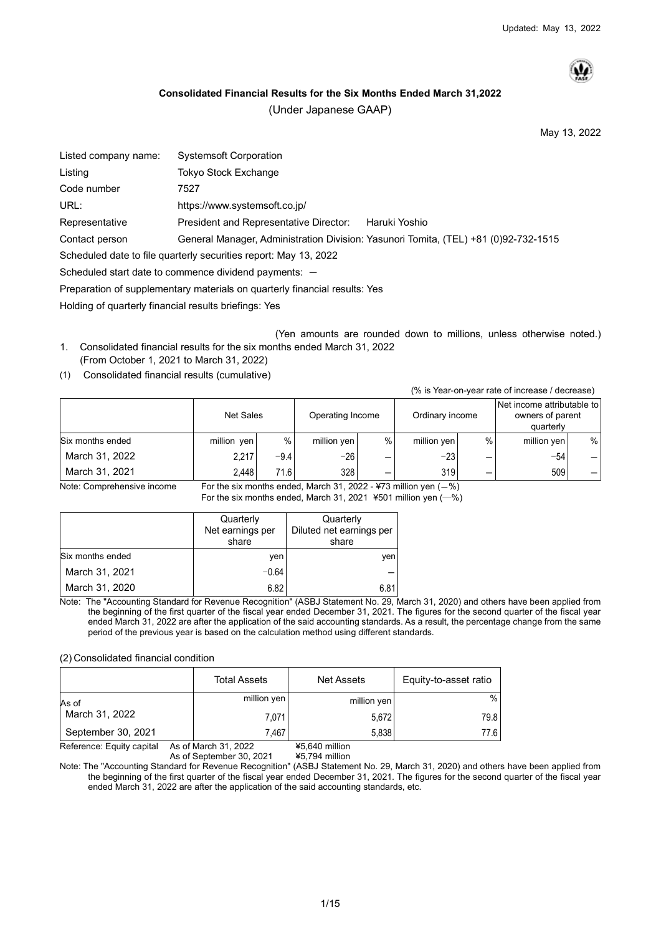

## <span id="page-0-0"></span>**Consolidated Financial Results for the Six Months Ended March 31,2022**

(Under Japanese GAAP)

May 13, 2022

| Listed company name:                                  | <b>Systemsoft Corporation</b>                                                       |
|-------------------------------------------------------|-------------------------------------------------------------------------------------|
| Listing                                               | Tokyo Stock Exchange                                                                |
| Code number                                           | 7527                                                                                |
| URL:                                                  | https://www.systemsoft.co.jp/                                                       |
| Representative                                        | President and Representative Director:<br>Haruki Yoshio                             |
| Contact person                                        | General Manager, Administration Division: Yasunori Tomita, (TEL) +81 (0)92-732-1515 |
|                                                       | Scheduled date to file quarterly securities report: May 13, 2022                    |
|                                                       | Scheduled start date to commence dividend payments: $-$                             |
|                                                       | Preparation of supplementary materials on quarterly financial results: Yes          |
| Holding of quarterly financial results briefings: Yes |                                                                                     |

(Yen amounts are rounded down to millions, unless otherwise noted.) 1. Consolidated financial results for the six months ended March 31, 2022

- (From October 1, 2021 to March 31, 2022)
- (1) Consolidated financial results (cumulative)

(% is Year-on-year rate of increase / decrease)

|                  | <b>Net Sales</b> |        | Operating Income |   | Ordinary income |   | Net income attributable to<br>owners of parent<br>quarterly |   |
|------------------|------------------|--------|------------------|---|-----------------|---|-------------------------------------------------------------|---|
| Six months ended | million yen      | %      | million yen      | % | million yen     | % | million yen                                                 | % |
| March 31, 2022   | 2.217            | $-9.4$ | $-26$            |   | $-23$           |   | $-54$                                                       |   |
| March 31, 2021   | 2.448            | 71.6   | 328 I            |   | 319             |   | 509                                                         |   |

Note: Comprehensive income For the six months ended, March 31, 2022 - ¥73 million yen  $(-%)$ 

|                  | Quarterly<br>Net earnings per<br>share | Quarterly<br>Diluted net earnings per<br>share |
|------------------|----------------------------------------|------------------------------------------------|
| Six months ended | ven                                    | ven                                            |
| March 31, 2021   | $-0.64$                                |                                                |
| March 31, 2020   | 6.82                                   | 6.81                                           |

Note: The "Accounting Standard for Revenue Recognition" (ASBJ Statement No. 29, March 31, 2020) and others have been applied from the beginning of the first quarter of the fiscal year ended December 31, 2021. The figures for the second quarter of the fiscal year ended March 31, 2022 are after the application of the said accounting standards. As a result, the percentage change from the same period of the previous year is based on the calculation method using different standards.

(2) Consolidated financial condition

|                    | <b>Total Assets</b> | Net Assets  | Equity-to-asset ratio |
|--------------------|---------------------|-------------|-----------------------|
| As of              | million yen         | million yen | %                     |
| March 31, 2022     | 7,071               | 5,672       | 79.81                 |
| September 30, 2021 | 7.467               | 5,838       | 77.6 I                |

Reference: Equity capital As of March 31, 2022 ¥5,640 million

Note: The "Accounting Standard for Revenue Recognition" (ASBJ Statement No. 29, March 31, 2020) and others have been applied from the beginning of the first quarter of the fiscal year ended December 31, 2021. The figures for the second quarter of the fiscal year ended March 31, 2022 are after the application of the said accounting standards, etc.

As of September 30, 2021 ¥5,794 million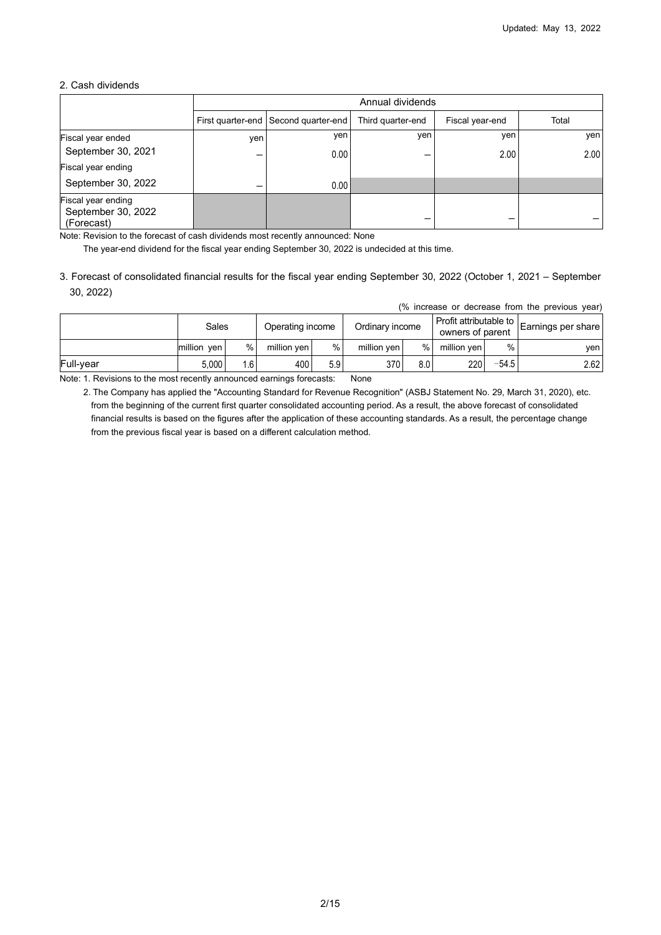## 2. Cash dividends

|                                                        |     |                                      | Annual dividends  |                 |       |
|--------------------------------------------------------|-----|--------------------------------------|-------------------|-----------------|-------|
|                                                        |     | First quarter-end Second quarter-end | Third quarter-end | Fiscal year-end | Total |
| Fiscal year ended                                      | yen | yen                                  | yen               | yen             | yen   |
| September 30, 2021                                     |     | 0.00                                 |                   | 2.00            | 2.00  |
| Fiscal year ending                                     |     |                                      |                   |                 |       |
| September 30, 2022                                     |     | 0.001                                |                   |                 |       |
| Fiscal year ending<br>September 30, 2022<br>(Forecast) |     |                                      |                   |                 |       |

Note: Revision to the forecast of cash dividends most recently announced: None

The year-end dividend for the fiscal year ending September 30, 2022 is undecided at this time.

3. Forecast of consolidated financial results for the fiscal year ending September 30, 2022 (October 1, 2021 – September 30, 2022)

|  |  | (% increase or decrease from the previous year) |  |  |
|--|--|-------------------------------------------------|--|--|
|  |  |                                                 |  |  |

|           | Sales       |    | Operating income |     | Ordinary income |     | Profit attributable to $\mathsf{L}$<br>owners of parent |         | Earnings per share |
|-----------|-------------|----|------------------|-----|-----------------|-----|---------------------------------------------------------|---------|--------------------|
|           | million yen | %  | million ven      | %   | million ven     | %   | million yen                                             | $\%$    | yen l              |
| Full-vear | 5.000       | .6 | 400              | 5.9 | 370             | 8.0 | 220                                                     | $-54.5$ | 2.62               |

Note: 1. Revisions to the most recently announced earnings forecasts: None

2. The Company has applied the "Accounting Standard for Revenue Recognition" (ASBJ Statement No. 29, March 31, 2020), etc. from the beginning of the current first quarter consolidated accounting period. As a result, the above forecast of consolidated financial results is based on the figures after the application of these accounting standards. As a result, the percentage change from the previous fiscal year is based on a different calculation method.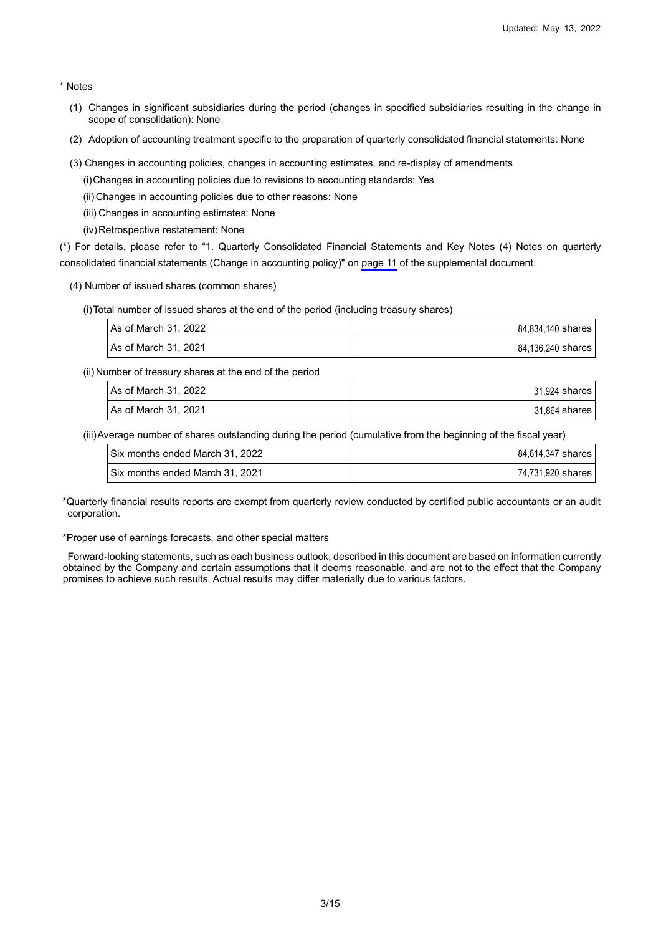\* Notes

- (1) Changes in significant subsidiaries during the period (changes in specified subsidiaries resulting in the change in scope of consolidation): None
- (2) Adoption of accounting treatment specific to the preparation of quarterly consolidated financial statements: None
- (3) Changes in accounting policies, changes in accounting estimates, and re-display of amendments
	- (i) Changes in accounting policies due to revisions to accounting standards: Yes
	- (ii) Changes in accounting policies due to other reasons: None
	- (iii) Changes in accounting estimates: None
	- (iv) Retrospective restatement: None

(\*) For details, please refer to "1. Quarterly Consolidated Financial Statements and Key Notes (4) Notes on quarterly consolidated financial statements (Change in accounting policy)" on [page 11](#page-10-0) of the supplemental document.

- (4) Number of issued shares (common shares)
	- (i) Total number of issued shares at the end of the period (including treasury shares)

| l As of March 31. 2022 | 84.834.140 shares |
|------------------------|-------------------|
| I As of March 31. 2021 | 84.136.240 shares |

(ii) Number of treasury shares at the end of the period

| As of March 31, 2022 | 31.924 shares |
|----------------------|---------------|
| As of March 31, 2021 | 31.864 shares |

(iii) Average number of shares outstanding during the period (cumulative from the beginning of the fiscal year)

| Six months ended March 31, 2022   | 84.614.347 shares |
|-----------------------------------|-------------------|
| I Six months ended March 31, 2021 | 74.731.920 shares |

\*Quarterly financial results reports are exempt from quarterly review conducted by certified public accountants or an audit corporation.

\*Proper use of earnings forecasts, and other special matters

Forward-looking statements, such as each business outlook, described in this document are based on information currently obtained by the Company and certain assumptions that it deems reasonable, and are not to the effect that the Company promises to achieve such results. Actual results may differ materially due to various factors.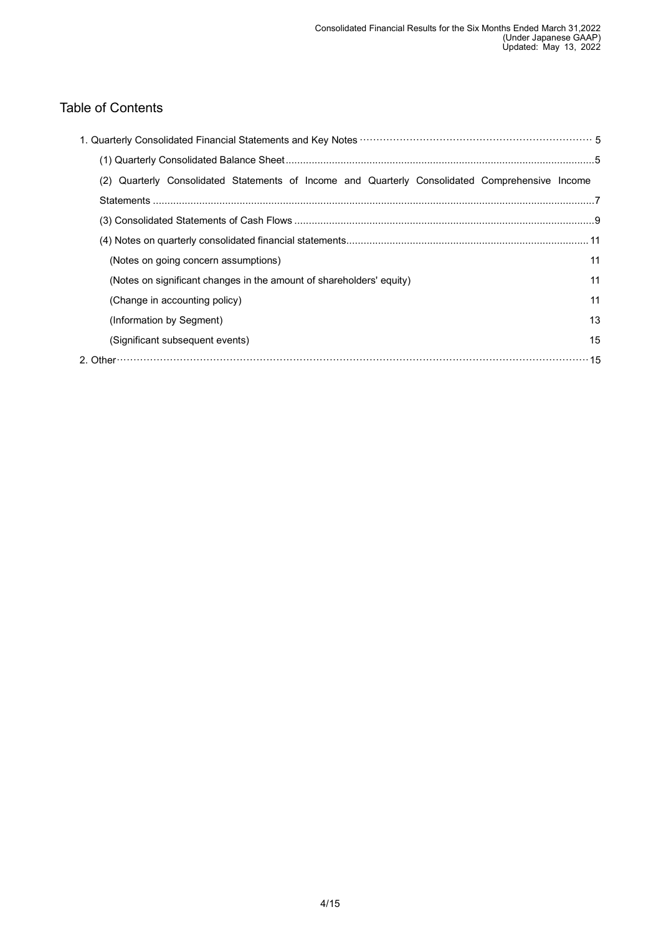# Table of Contents

| (2) Quarterly Consolidated Statements of Income and Quarterly Consolidated Comprehensive Income |    |
|-------------------------------------------------------------------------------------------------|----|
|                                                                                                 |    |
|                                                                                                 |    |
|                                                                                                 |    |
| (Notes on going concern assumptions)                                                            | 11 |
| (Notes on significant changes in the amount of shareholders' equity)                            | 11 |
| (Change in accounting policy)                                                                   | 11 |
| (Information by Segment)                                                                        | 13 |
| (Significant subsequent events)                                                                 | 15 |
|                                                                                                 |    |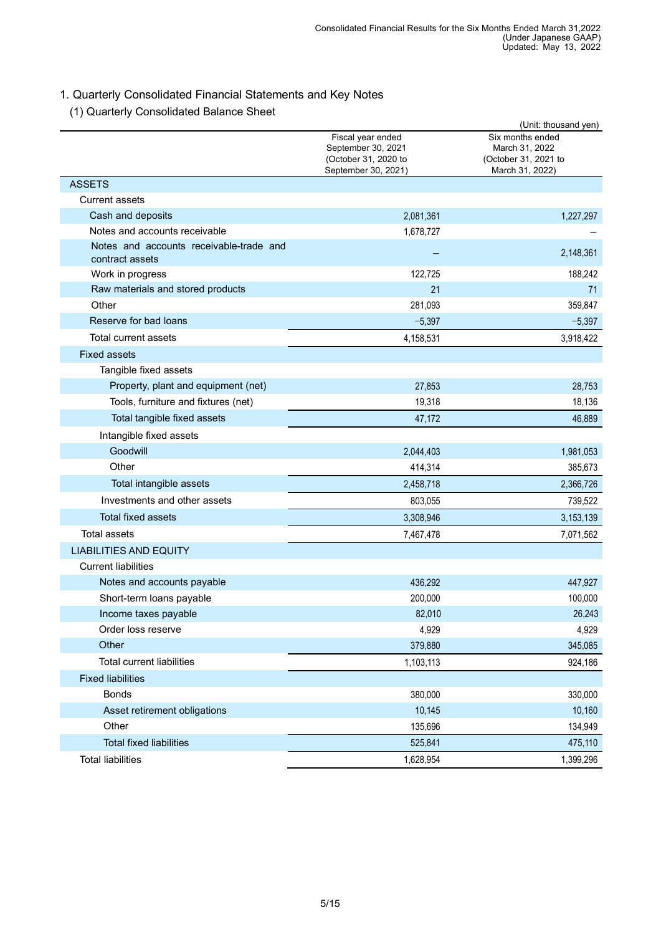# <span id="page-4-0"></span>1. Quarterly Consolidated Financial Statements and Key Notes

# <span id="page-4-1"></span>(1) Quarterly Consolidated Balance Sheet

|                                                            |                                                                                        | (Unit: thousand yen)                                                          |
|------------------------------------------------------------|----------------------------------------------------------------------------------------|-------------------------------------------------------------------------------|
|                                                            | Fiscal year ended<br>September 30, 2021<br>(October 31, 2020 to<br>September 30, 2021) | Six months ended<br>March 31, 2022<br>(October 31, 2021 to<br>March 31, 2022) |
| <b>ASSETS</b>                                              |                                                                                        |                                                                               |
| <b>Current assets</b>                                      |                                                                                        |                                                                               |
| Cash and deposits                                          | 2,081,361                                                                              | 1,227,297                                                                     |
| Notes and accounts receivable                              | 1,678,727                                                                              |                                                                               |
| Notes and accounts receivable-trade and<br>contract assets |                                                                                        | 2,148,361                                                                     |
| Work in progress                                           | 122,725                                                                                | 188,242                                                                       |
| Raw materials and stored products                          | 21                                                                                     | 71                                                                            |
| Other                                                      | 281,093                                                                                | 359,847                                                                       |
| Reserve for bad loans                                      | $-5,397$                                                                               | $-5,397$                                                                      |
| Total current assets                                       | 4,158,531                                                                              | 3,918,422                                                                     |
| <b>Fixed assets</b>                                        |                                                                                        |                                                                               |
| Tangible fixed assets                                      |                                                                                        |                                                                               |
| Property, plant and equipment (net)                        | 27,853                                                                                 | 28,753                                                                        |
| Tools, furniture and fixtures (net)                        | 19,318                                                                                 | 18,136                                                                        |
| Total tangible fixed assets                                | 47,172                                                                                 | 46,889                                                                        |
| Intangible fixed assets                                    |                                                                                        |                                                                               |
| Goodwill                                                   | 2,044,403                                                                              | 1,981,053                                                                     |
| Other                                                      | 414,314                                                                                | 385,673                                                                       |
| Total intangible assets                                    | 2,458,718                                                                              | 2,366,726                                                                     |
| Investments and other assets                               | 803,055                                                                                | 739,522                                                                       |
| <b>Total fixed assets</b>                                  | 3,308,946                                                                              | 3,153,139                                                                     |
| <b>Total assets</b>                                        | 7,467,478                                                                              | 7,071,562                                                                     |
| <b>LIABILITIES AND EQUITY</b>                              |                                                                                        |                                                                               |
| <b>Current liabilities</b>                                 |                                                                                        |                                                                               |
| Notes and accounts payable                                 | 436,292                                                                                | 447,927                                                                       |
| Short-term loans payable                                   | 200,000                                                                                | 100,000                                                                       |
| Income taxes payable                                       | 82,010                                                                                 | 26,243                                                                        |
| Order loss reserve                                         | 4,929                                                                                  | 4,929                                                                         |
| Other                                                      | 379,880                                                                                | 345,085                                                                       |
| <b>Total current liabilities</b>                           | 1,103,113                                                                              | 924,186                                                                       |
| <b>Fixed liabilities</b>                                   |                                                                                        |                                                                               |
| <b>Bonds</b>                                               | 380,000                                                                                | 330,000                                                                       |
| Asset retirement obligations                               | 10,145                                                                                 | 10,160                                                                        |
| Other                                                      | 135,696                                                                                | 134,949                                                                       |
| <b>Total fixed liabilities</b>                             | 525,841                                                                                | 475,110                                                                       |
| <b>Total liabilities</b>                                   | 1,628,954                                                                              | 1,399,296                                                                     |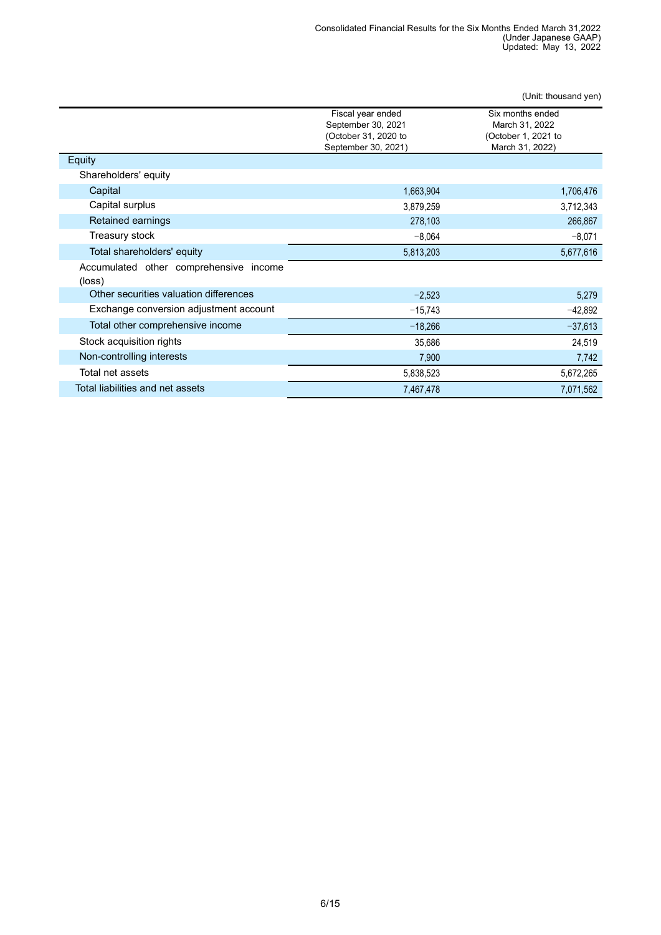|                                                     |                                                                                        | (Unit: thousand yen)                                                         |
|-----------------------------------------------------|----------------------------------------------------------------------------------------|------------------------------------------------------------------------------|
|                                                     | Fiscal year ended<br>September 30, 2021<br>(October 31, 2020 to<br>September 30, 2021) | Six months ended<br>March 31, 2022<br>(October 1, 2021 to<br>March 31, 2022) |
| Equity                                              |                                                                                        |                                                                              |
| Shareholders' equity                                |                                                                                        |                                                                              |
| Capital                                             | 1,663,904                                                                              | 1,706,476                                                                    |
| Capital surplus                                     | 3,879,259                                                                              | 3,712,343                                                                    |
| Retained earnings                                   | 278,103                                                                                | 266,867                                                                      |
| Treasury stock                                      | $-8,064$                                                                               | $-8,071$                                                                     |
| Total shareholders' equity                          | 5,813,203                                                                              | 5,677,616                                                                    |
| Accumulated other comprehensive<br>income<br>(loss) |                                                                                        |                                                                              |
| Other securities valuation differences              | $-2,523$                                                                               | 5,279                                                                        |
| Exchange conversion adjustment account              | $-15,743$                                                                              | $-42,892$                                                                    |
| Total other comprehensive income                    | $-18,266$                                                                              | $-37,613$                                                                    |
| Stock acquisition rights                            | 35,686                                                                                 | 24,519                                                                       |
| Non-controlling interests                           | 7,900                                                                                  | 7,742                                                                        |
| Total net assets                                    | 5,838,523                                                                              | 5,672,265                                                                    |
| Total liabilities and net assets                    | 7,467,478                                                                              | 7,071,562                                                                    |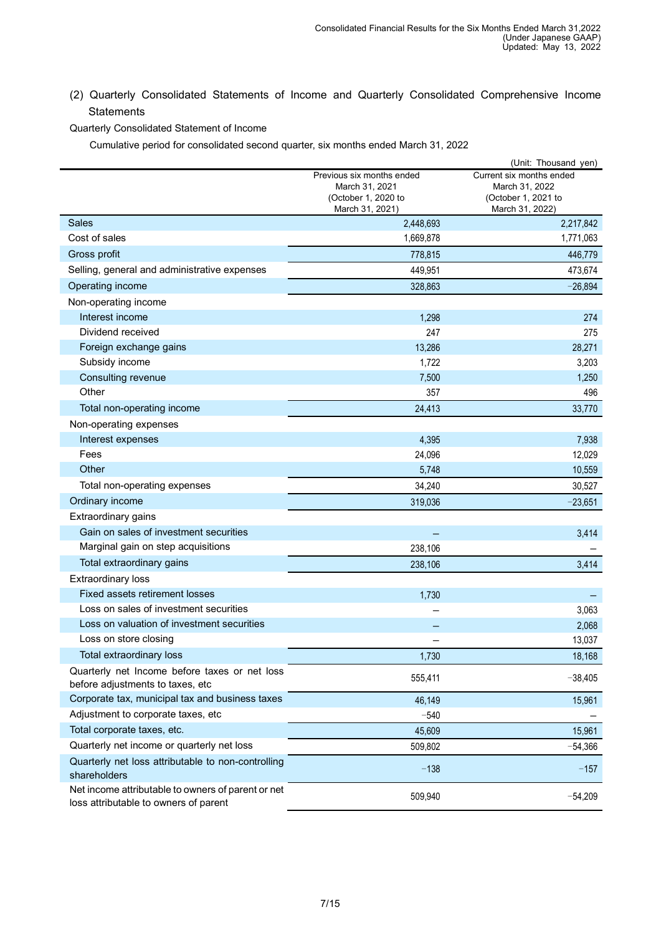<span id="page-6-0"></span>(2) Quarterly Consolidated Statements of Income and Quarterly Consolidated Comprehensive Income **Statements** 

Quarterly Consolidated Statement of Income

Cumulative period for consolidated second quarter, six months ended March 31, 2022

|                                                                                             |                                                                                       | (Unit: Thousand yen)                                                                 |
|---------------------------------------------------------------------------------------------|---------------------------------------------------------------------------------------|--------------------------------------------------------------------------------------|
|                                                                                             | Previous six months ended<br>March 31, 2021<br>(October 1, 2020 to<br>March 31, 2021) | Current six months ended<br>March 31, 2022<br>(October 1, 2021 to<br>March 31, 2022) |
| Sales                                                                                       | 2,448,693                                                                             | 2,217,842                                                                            |
| Cost of sales                                                                               | 1,669,878                                                                             | 1,771,063                                                                            |
| Gross profit                                                                                | 778,815                                                                               | 446,779                                                                              |
| Selling, general and administrative expenses                                                | 449,951                                                                               | 473,674                                                                              |
| Operating income                                                                            | 328,863                                                                               | $-26,894$                                                                            |
| Non-operating income                                                                        |                                                                                       |                                                                                      |
| Interest income                                                                             | 1,298                                                                                 | 274                                                                                  |
| Dividend received                                                                           | 247                                                                                   | 275                                                                                  |
| Foreign exchange gains                                                                      | 13,286                                                                                | 28,271                                                                               |
| Subsidy income                                                                              | 1,722                                                                                 | 3,203                                                                                |
| Consulting revenue                                                                          | 7,500                                                                                 | 1,250                                                                                |
| Other                                                                                       | 357                                                                                   | 496                                                                                  |
| Total non-operating income                                                                  | 24,413                                                                                | 33,770                                                                               |
| Non-operating expenses                                                                      |                                                                                       |                                                                                      |
| Interest expenses                                                                           | 4,395                                                                                 | 7,938                                                                                |
| Fees                                                                                        | 24,096                                                                                | 12,029                                                                               |
| Other                                                                                       | 5,748                                                                                 | 10,559                                                                               |
| Total non-operating expenses                                                                | 34,240                                                                                | 30,527                                                                               |
| Ordinary income                                                                             | 319,036                                                                               | $-23,651$                                                                            |
| Extraordinary gains                                                                         |                                                                                       |                                                                                      |
| Gain on sales of investment securities                                                      |                                                                                       | 3,414                                                                                |
| Marginal gain on step acquisitions                                                          | 238,106                                                                               |                                                                                      |
| Total extraordinary gains                                                                   | 238,106                                                                               | 3,414                                                                                |
| <b>Extraordinary loss</b>                                                                   |                                                                                       |                                                                                      |
| Fixed assets retirement losses                                                              | 1,730                                                                                 |                                                                                      |
| Loss on sales of investment securities                                                      |                                                                                       | 3,063                                                                                |
| Loss on valuation of investment securities                                                  |                                                                                       | 2,068                                                                                |
| Loss on store closing                                                                       |                                                                                       | 13,037                                                                               |
| Total extraordinary loss                                                                    | 1,730                                                                                 | 18,168                                                                               |
| Quarterly net Income before taxes or net loss<br>before adjustments to taxes, etc           | 555,411                                                                               | $-38,405$                                                                            |
| Corporate tax, municipal tax and business taxes                                             | 46,149                                                                                | 15,961                                                                               |
| Adjustment to corporate taxes, etc                                                          | $-540$                                                                                |                                                                                      |
| Total corporate taxes, etc.                                                                 | 45,609                                                                                | 15,961                                                                               |
| Quarterly net income or quarterly net loss                                                  | 509,802                                                                               | $-54,366$                                                                            |
| Quarterly net loss attributable to non-controlling<br>shareholders                          | $-138$                                                                                | $-157$                                                                               |
| Net income attributable to owners of parent or net<br>loss attributable to owners of parent | 509,940                                                                               | $-54,209$                                                                            |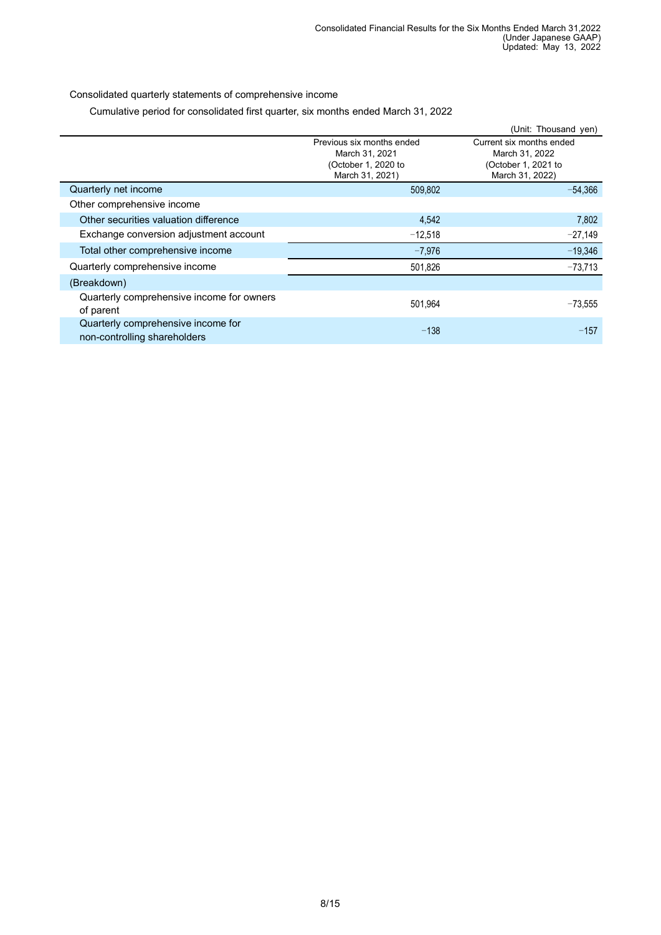Consolidated quarterly statements of comprehensive income

Cumulative period for consolidated first quarter, six months ended March 31, 2022

|                                           |                           | (Unit: Thousand yen)     |
|-------------------------------------------|---------------------------|--------------------------|
|                                           | Previous six months ended | Current six months ended |
|                                           | March 31, 2021            | March 31, 2022           |
|                                           | (October 1, 2020 to       | (October 1, 2021 to      |
|                                           | March 31, 2021)           | March 31, 2022)          |
| Quarterly net income                      | 509,802                   | $-54.366$                |
| Other comprehensive income                |                           |                          |
| Other securities valuation difference     | 4,542                     | 7,802                    |
| Exchange conversion adjustment account    | $-12,518$                 | $-27,149$                |
| Total other comprehensive income          | $-7,976$                  | $-19,346$                |
| Quarterly comprehensive income            | 501,826                   | $-73,713$                |
| (Breakdown)                               |                           |                          |
| Quarterly comprehensive income for owners | 501,964                   | $-73,555$                |
| of parent                                 |                           |                          |
| Quarterly comprehensive income for        | $-138$                    | $-157$                   |
| non-controlling shareholders              |                           |                          |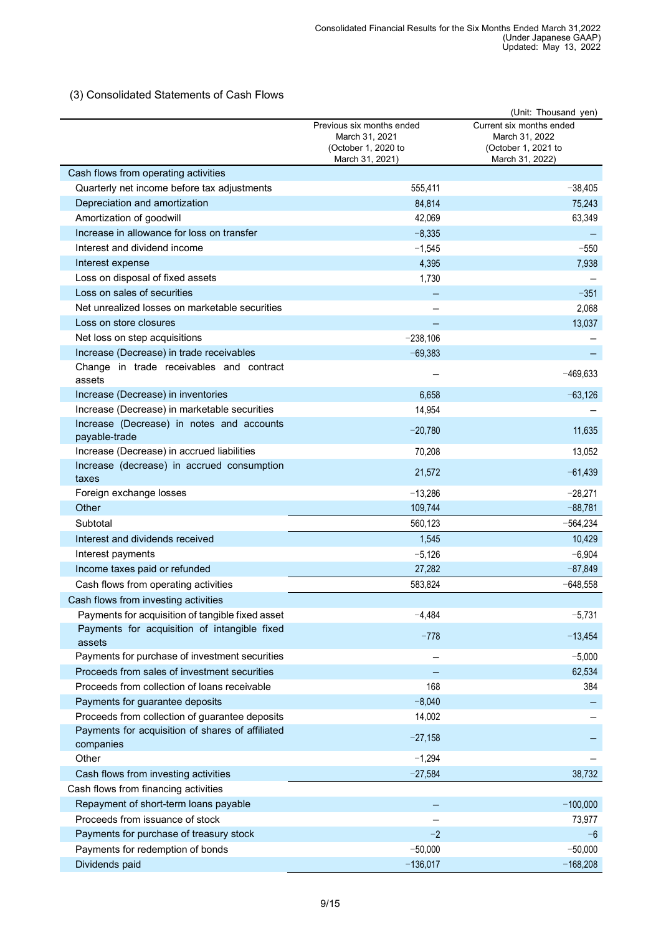# <span id="page-8-0"></span>(3) Consolidated Statements of Cash Flows

|                                                        | Previous six months ended             |                                                                   |
|--------------------------------------------------------|---------------------------------------|-------------------------------------------------------------------|
|                                                        | March 31, 2021<br>(October 1, 2020 to | Current six months ended<br>March 31, 2022<br>(October 1, 2021 to |
|                                                        | March 31, 2021)                       | March 31, 2022)                                                   |
| Cash flows from operating activities                   |                                       |                                                                   |
| Quarterly net income before tax adjustments            | 555,411                               | $-38,405$                                                         |
| Depreciation and amortization                          | 84,814                                | 75,243                                                            |
| Amortization of goodwill                               | 42,069                                | 63,349                                                            |
| Increase in allowance for loss on transfer             | $-8,335$                              |                                                                   |
| Interest and dividend income                           | $-1,545$                              | $-550$                                                            |
| Interest expense                                       | 4,395                                 | 7,938                                                             |
| Loss on disposal of fixed assets                       | 1,730                                 |                                                                   |
| Loss on sales of securities                            |                                       | $-351$                                                            |
| Net unrealized losses on marketable securities         |                                       | 2,068                                                             |
| Loss on store closures                                 |                                       | 13,037                                                            |
| Net loss on step acquisitions                          | $-238,106$                            |                                                                   |
| Increase (Decrease) in trade receivables               | $-69,383$                             |                                                                   |
| Change in trade receivables and contract<br>assets     |                                       | $-469,633$                                                        |
| Increase (Decrease) in inventories                     | 6,658                                 | $-63,126$                                                         |
| Increase (Decrease) in marketable securities           | 14,954                                |                                                                   |
| Increase (Decrease) in notes and accounts              | $-20,780$                             | 11,635                                                            |
| payable-trade                                          |                                       |                                                                   |
| Increase (Decrease) in accrued liabilities             | 70,208                                | 13,052                                                            |
| Increase (decrease) in accrued consumption<br>taxes    | 21,572                                | $-61,439$                                                         |
| Foreign exchange losses                                | $-13,286$                             | $-28,271$                                                         |
| Other                                                  | 109,744                               | $-88,781$                                                         |
| Subtotal                                               | 560,123                               | $-564,234$                                                        |
| Interest and dividends received                        | 1,545                                 | 10,429                                                            |
| Interest payments                                      | $-5,126$                              | $-6,904$                                                          |
| Income taxes paid or refunded                          | 27,282                                | $-87,849$                                                         |
| Cash flows from operating activities                   | 583,824                               | $-648,558$                                                        |
| Cash flows from investing activities                   |                                       |                                                                   |
| Payments for acquisition of tangible fixed asset       | $-4,484$                              | $-5,731$                                                          |
| Payments for acquisition of intangible fixed<br>assets | $-778$                                | $-13,454$                                                         |
| Payments for purchase of investment securities         |                                       | $-5,000$                                                          |
| Proceeds from sales of investment securities           |                                       | 62,534                                                            |
| Proceeds from collection of loans receivable           | 168                                   | 384                                                               |
| Payments for guarantee deposits                        | $-8,040$                              |                                                                   |
| Proceeds from collection of guarantee deposits         | 14,002                                |                                                                   |
| Payments for acquisition of shares of affiliated       |                                       |                                                                   |
| companies                                              | $-27,158$                             |                                                                   |
| Other                                                  | $-1,294$                              |                                                                   |
| Cash flows from investing activities                   | $-27,584$                             | 38,732                                                            |
| Cash flows from financing activities                   |                                       |                                                                   |
| Repayment of short-term loans payable                  |                                       | $-100,000$                                                        |
| Proceeds from issuance of stock                        |                                       | 73,977                                                            |
| Payments for purchase of treasury stock                | $-2$                                  | $-6$                                                              |
| Payments for redemption of bonds                       | $-50,000$                             | $-50,000$                                                         |
| Dividends paid                                         | $-136,017$                            | $-168,208$                                                        |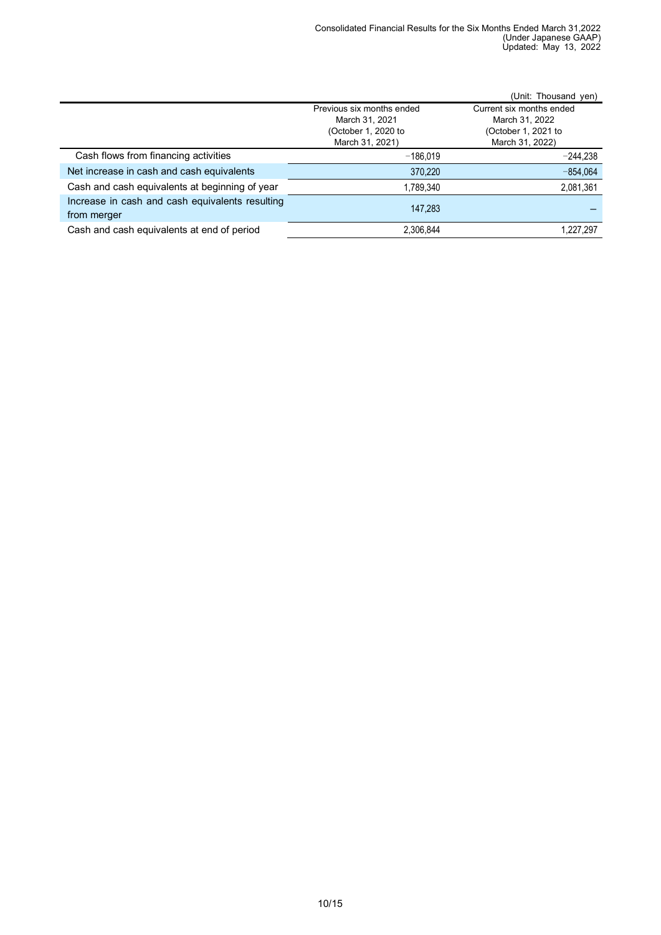|                                                 |                           | (Unit: Thousand yen)     |
|-------------------------------------------------|---------------------------|--------------------------|
|                                                 | Previous six months ended | Current six months ended |
|                                                 | March 31, 2021            | March 31, 2022           |
|                                                 | (October 1, 2020 to       | (October 1, 2021 to      |
|                                                 | March 31, 2021)           | March 31, 2022)          |
| Cash flows from financing activities            | $-186.019$                | $-244,238$               |
| Net increase in cash and cash equivalents       | 370,220                   | $-854,064$               |
| Cash and cash equivalents at beginning of year  | 1,789,340                 | 2,081,361                |
| Increase in cash and cash equivalents resulting | 147.283                   |                          |
| from merger                                     |                           |                          |
| Cash and cash equivalents at end of period      | 2,306,844                 | 1,227,297                |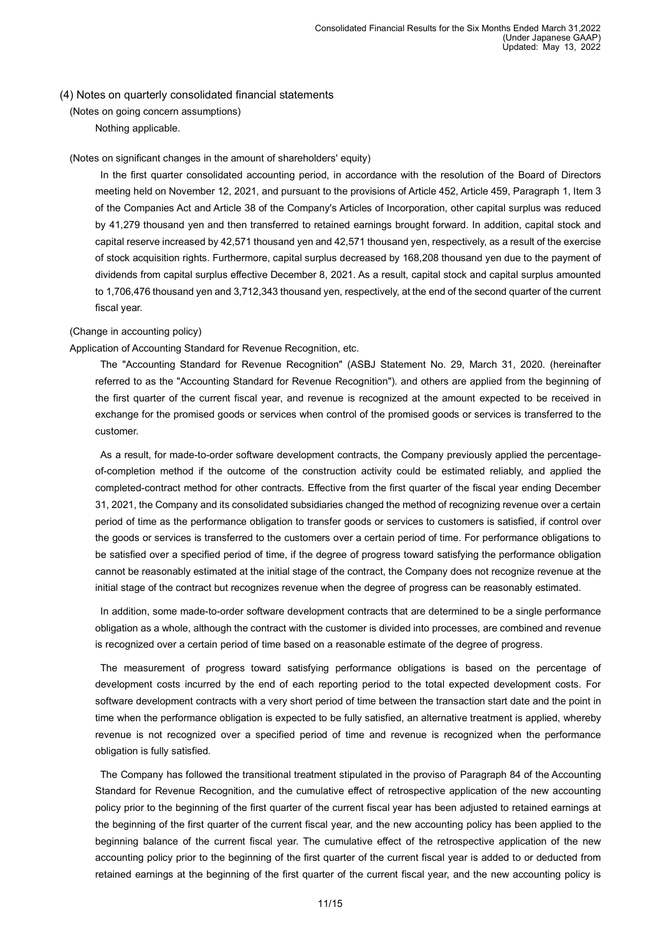### <span id="page-10-2"></span><span id="page-10-1"></span><span id="page-10-0"></span>(4) Notes on quarterly consolidated financial statements

(Notes on going concern assumptions) Nothing applicable.

#### <span id="page-10-3"></span>(Notes on significant changes in the amount of shareholders' equity)

In the first quarter consolidated accounting period, in accordance with the resolution of the Board of Directors meeting held on November 12, 2021, and pursuant to the provisions of Article 452, Article 459, Paragraph 1, Item 3 of the Companies Act and Article 38 of the Company's Articles of Incorporation, other capital surplus was reduced by 41,279 thousand yen and then transferred to retained earnings brought forward. In addition, capital stock and capital reserve increased by 42,571 thousand yen and 42,571 thousand yen, respectively, as a result of the exercise of stock acquisition rights. Furthermore, capital surplus decreased by 168,208 thousand yen due to the payment of dividends from capital surplus effective December 8, 2021. As a result, capital stock and capital surplus amounted to 1,706,476 thousand yen and 3,712,343 thousand yen, respectively, at the end of the second quarter of the current fiscal year.

## <span id="page-10-4"></span>(Change in accounting policy)

Application of Accounting Standard for Revenue Recognition, etc.

The "Accounting Standard for Revenue Recognition" (ASBJ Statement No. 29, March 31, 2020. (hereinafter referred to as the "Accounting Standard for Revenue Recognition"). and others are applied from the beginning of the first quarter of the current fiscal year, and revenue is recognized at the amount expected to be received in exchange for the promised goods or services when control of the promised goods or services is transferred to the customer.

As a result, for made-to-order software development contracts, the Company previously applied the percentageof-completion method if the outcome of the construction activity could be estimated reliably, and applied the completed-contract method for other contracts. Effective from the first quarter of the fiscal year ending December 31, 2021, the Company and its consolidated subsidiaries changed the method of recognizing revenue over a certain period of time as the performance obligation to transfer goods or services to customers is satisfied, if control over the goods or services is transferred to the customers over a certain period of time. For performance obligations to be satisfied over a specified period of time, if the degree of progress toward satisfying the performance obligation cannot be reasonably estimated at the initial stage of the contract, the Company does not recognize revenue at the initial stage of the contract but recognizes revenue when the degree of progress can be reasonably estimated.

In addition, some made-to-order software development contracts that are determined to be a single performance obligation as a whole, although the contract with the customer is divided into processes, are combined and revenue is recognized over a certain period of time based on a reasonable estimate of the degree of progress.

The measurement of progress toward satisfying performance obligations is based on the percentage of development costs incurred by the end of each reporting period to the total expected development costs. For software development contracts with a very short period of time between the transaction start date and the point in time when the performance obligation is expected to be fully satisfied, an alternative treatment is applied, whereby revenue is not recognized over a specified period of time and revenue is recognized when the performance obligation is fully satisfied.

The Company has followed the transitional treatment stipulated in the proviso of Paragraph 84 of the Accounting Standard for Revenue Recognition, and the cumulative effect of retrospective application of the new accounting policy prior to the beginning of the first quarter of the current fiscal year has been adjusted to retained earnings at the beginning of the first quarter of the current fiscal year, and the new accounting policy has been applied to the beginning balance of the current fiscal year. The cumulative effect of the retrospective application of the new accounting policy prior to the beginning of the first quarter of the current fiscal year is added to or deducted from retained earnings at the beginning of the first quarter of the current fiscal year, and the new accounting policy is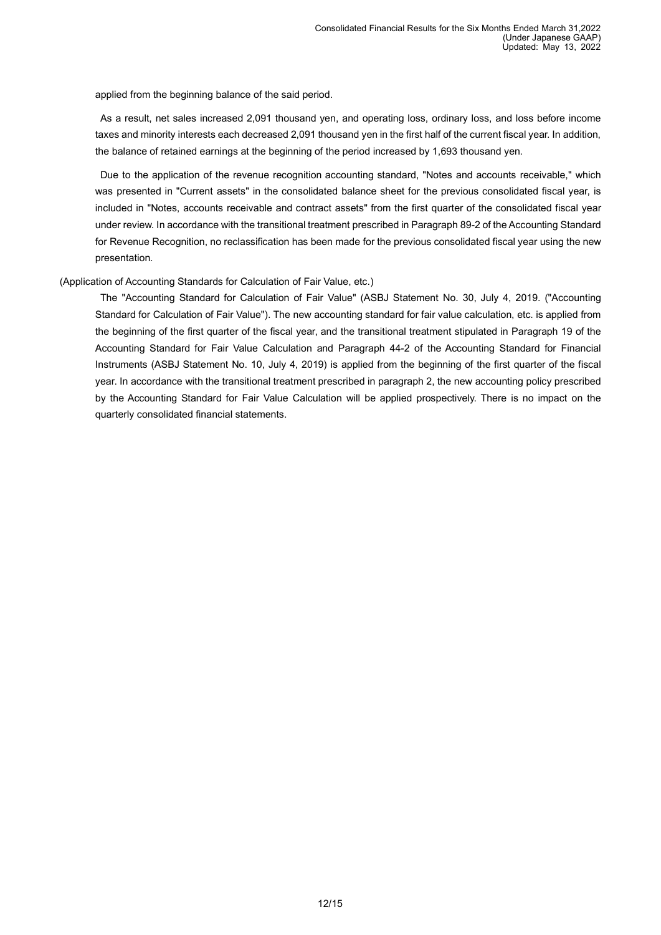applied from the beginning balance of the said period.

As a result, net sales increased 2,091 thousand yen, and operating loss, ordinary loss, and loss before income taxes and minority interests each decreased 2,091 thousand yen in the first half of the current fiscal year. In addition, the balance of retained earnings at the beginning of the period increased by 1,693 thousand yen.

Due to the application of the revenue recognition accounting standard, "Notes and accounts receivable," which was presented in "Current assets" in the consolidated balance sheet for the previous consolidated fiscal year, is included in "Notes, accounts receivable and contract assets" from the first quarter of the consolidated fiscal year under review. In accordance with the transitional treatment prescribed in Paragraph 89-2 of the Accounting Standard for Revenue Recognition, no reclassification has been made for the previous consolidated fiscal year using the new presentation.

## (Application of Accounting Standards for Calculation of Fair Value, etc.)

The "Accounting Standard for Calculation of Fair Value" (ASBJ Statement No. 30, July 4, 2019. ("Accounting Standard for Calculation of Fair Value"). The new accounting standard for fair value calculation, etc. is applied from the beginning of the first quarter of the fiscal year, and the transitional treatment stipulated in Paragraph 19 of the Accounting Standard for Fair Value Calculation and Paragraph 44-2 of the Accounting Standard for Financial Instruments (ASBJ Statement No. 10, July 4, 2019) is applied from the beginning of the first quarter of the fiscal year. In accordance with the transitional treatment prescribed in paragraph 2, the new accounting policy prescribed by the Accounting Standard for Fair Value Calculation will be applied prospectively. There is no impact on the quarterly consolidated financial statements.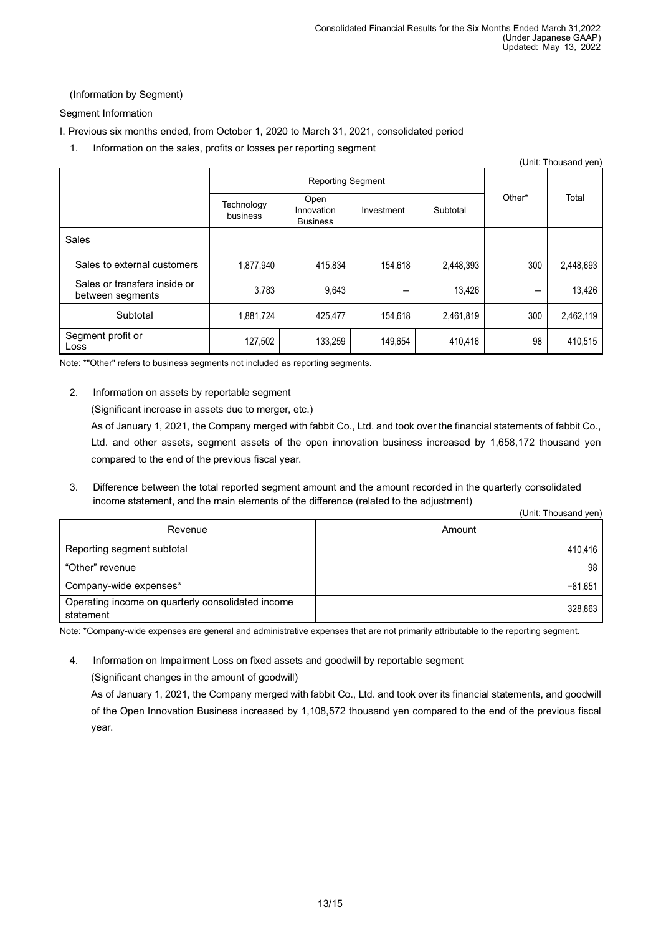# <span id="page-12-0"></span>(Information by Segment)

Segment Information

- I. Previous six months ended, from October 1, 2020 to March 31, 2021, consolidated period
	- 1. Information on the sales, profits or losses per reporting segment

|                                                  |                          |                                       |            |           |        | (Unit: Thousand yen) |
|--------------------------------------------------|--------------------------|---------------------------------------|------------|-----------|--------|----------------------|
|                                                  | <b>Reporting Segment</b> |                                       |            |           |        |                      |
|                                                  | Technology<br>business   | Open<br>Innovation<br><b>Business</b> | Investment | Subtotal  | Other* | Total                |
| Sales                                            |                          |                                       |            |           |        |                      |
| Sales to external customers                      | 1,877,940                | 415.834                               | 154.618    | 2,448,393 | 300    | 2,448,693            |
| Sales or transfers inside or<br>between segments | 3,783                    | 9,643                                 | –          | 13,426    |        | 13,426               |
| Subtotal                                         | 1,881,724                | 425,477                               | 154,618    | 2,461,819 | 300    | 2,462,119            |
| Segment profit or<br>Loss                        | 127,502                  | 133,259                               | 149,654    | 410,416   | 98     | 410,515              |

Note: \*"Other" refers to business segments not included as reporting segments.

2. Information on assets by reportable segment

(Significant increase in assets due to merger, etc.)

As of January 1, 2021, the Company merged with fabbit Co., Ltd. and took over the financial statements of fabbit Co., Ltd. and other assets, segment assets of the open innovation business increased by 1,658,172 thousand yen compared to the end of the previous fiscal year.

3. Difference between the total reported segment amount and the amount recorded in the quarterly consolidated income statement, and the main elements of the difference (related to the adjustment)  $(0, 0, 1)$  Thomas Section  $(0, 0, 1)$ 

|                                                                | (Unit: Thousand yen) |
|----------------------------------------------------------------|----------------------|
| Revenue                                                        | Amount               |
| Reporting segment subtotal                                     | 410.416              |
| "Other" revenue                                                | 98                   |
| Company-wide expenses*                                         | $-81.651$            |
| Operating income on quarterly consolidated income<br>statement | 328,863              |

Note: \*Company-wide expenses are general and administrative expenses that are not primarily attributable to the reporting segment.

4. Information on Impairment Loss on fixed assets and goodwill by reportable segment (Significant changes in the amount of goodwill)

As of January 1, 2021, the Company merged with fabbit Co., Ltd. and took over its financial statements, and goodwill of the Open Innovation Business increased by 1,108,572 thousand yen compared to the end of the previous fiscal year.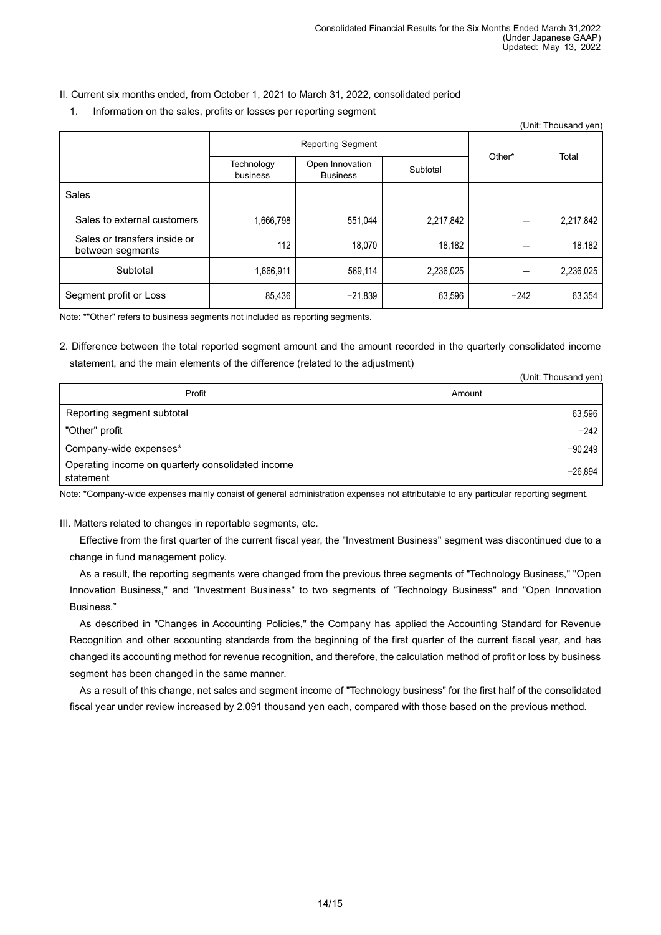# II. Current six months ended, from October 1, 2021 to March 31, 2022, consolidated period

1. Information on the sales, profits or losses per reporting segment

|                                                  |                          |                                    |           |        | (Unit: Thousand yen) |
|--------------------------------------------------|--------------------------|------------------------------------|-----------|--------|----------------------|
|                                                  | <b>Reporting Segment</b> |                                    |           |        |                      |
|                                                  | Technology<br>business   | Open Innovation<br><b>Business</b> | Subtotal  | Other* | Total                |
| Sales                                            |                          |                                    |           |        |                      |
| Sales to external customers                      | 1,666,798                | 551,044                            | 2,217,842 |        | 2,217,842            |
| Sales or transfers inside or<br>between segments | 112                      | 18,070                             | 18,182    | –      | 18,182               |
| Subtotal                                         | 1,666,911                | 569,114                            | 2,236,025 | –      | 2,236,025            |
| Segment profit or Loss                           | 85,436                   | $-21,839$                          | 63,596    | $-242$ | 63,354               |

Note: \*"Other" refers to business segments not included as reporting segments.

2. Difference between the total reported segment amount and the amount recorded in the quarterly consolidated income statement, and the main elements of the difference (related to the adjustment)

|                                                                | (Unit: Thousand yen) |
|----------------------------------------------------------------|----------------------|
| Profit                                                         | Amount               |
| Reporting segment subtotal                                     | 63,596               |
| "Other" profit                                                 | $-242$               |
| Company-wide expenses*                                         | $-90.249$            |
| Operating income on quarterly consolidated income<br>statement | $-26.894$            |

Note: \*Company-wide expenses mainly consist of general administration expenses not attributable to any particular reporting segment.

### III. Matters related to changes in reportable segments, etc.

Effective from the first quarter of the current fiscal year, the "Investment Business" segment was discontinued due to a change in fund management policy.

As a result, the reporting segments were changed from the previous three segments of "Technology Business," "Open Innovation Business," and "Investment Business" to two segments of "Technology Business" and "Open Innovation Business."

As described in "Changes in Accounting Policies," the Company has applied the Accounting Standard for Revenue Recognition and other accounting standards from the beginning of the first quarter of the current fiscal year, and has changed its accounting method for revenue recognition, and therefore, the calculation method of profit or loss by business segment has been changed in the same manner.

As a result of this change, net sales and segment income of "Technology business" for the first half of the consolidated fiscal year under review increased by 2,091 thousand yen each, compared with those based on the previous method.